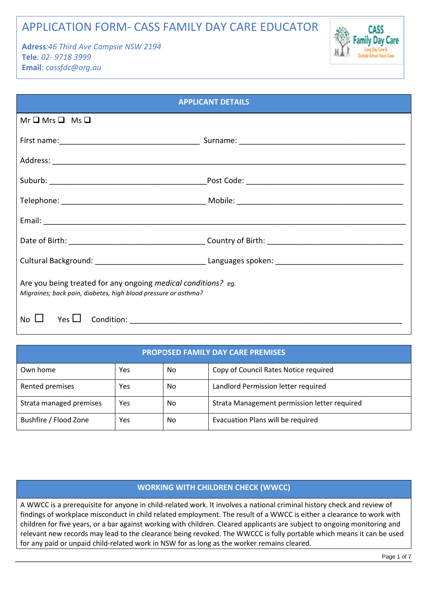# APPLICATION FORM- CASS FAMILY DAY CARE EDUCATOR

**Adress***:46 Third Ave Campsie NSW 2194* **Tele***: 02- 9718 3999* **Email**: *cassfdc@org.au* 



| <b>APPLICANT DETAILS</b>                                                                                                        |  |  |  |  |  |  |
|---------------------------------------------------------------------------------------------------------------------------------|--|--|--|--|--|--|
| $Mr \square Mrs \square Ms \square$                                                                                             |  |  |  |  |  |  |
|                                                                                                                                 |  |  |  |  |  |  |
|                                                                                                                                 |  |  |  |  |  |  |
|                                                                                                                                 |  |  |  |  |  |  |
|                                                                                                                                 |  |  |  |  |  |  |
|                                                                                                                                 |  |  |  |  |  |  |
|                                                                                                                                 |  |  |  |  |  |  |
|                                                                                                                                 |  |  |  |  |  |  |
| Are you being treated for any ongoing medical conditions? eg.<br>Migraines; back pain, diabetes, high blood pressure or asthma? |  |  |  |  |  |  |
| No $\Box$<br>Yes $\Box$<br>Condition:                                                                                           |  |  |  |  |  |  |

| <b>PROPOSED FAMILY DAY CARE PREMISES</b> |     |     |                                              |  |  |  |  |
|------------------------------------------|-----|-----|----------------------------------------------|--|--|--|--|
| Own home                                 | Yes | No  | Copy of Council Rates Notice required        |  |  |  |  |
| Rented premises                          | Yes | No  | Landlord Permission letter required          |  |  |  |  |
| Strata managed premises                  | Yes | No. | Strata Management permission letter required |  |  |  |  |
| Bushfire / Flood Zone                    | Yes | No. | Evacuation Plans will be required            |  |  |  |  |

### **WORKING WITH CHILDREN CHECK (WWCC)**

A WWCC is a prerequisite for anyone in child-related work. It involves a national criminal history check and review of findings of workplace misconduct in child related employment. The result of a WWCC is either a clearance to work with children for five years, or a bar against working with children. Cleared applicants are subject to ongoing monitoring and relevant new records may lead to the clearance being revoked. The WWCCC is fully portable which means it can be used for any paid or unpaid child-related work in NSW for as long as the worker remains cleared.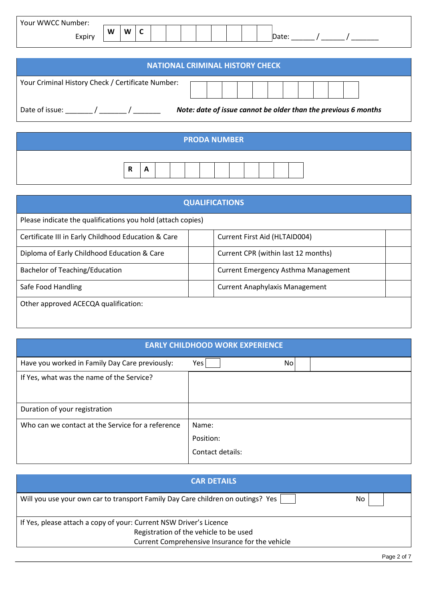| Your WWCC Number: |   |   |        |  |  |  |  |      |
|-------------------|---|---|--------|--|--|--|--|------|
| Expiry            | W | W | ∽<br>~ |  |  |  |  | レロレヒ |

| <b>NATIONAL CRIMINAL HISTORY CHECK</b>            |                                                                |  |  |  |  |  |  |  |
|---------------------------------------------------|----------------------------------------------------------------|--|--|--|--|--|--|--|
| Your Criminal History Check / Certificate Number: |                                                                |  |  |  |  |  |  |  |
| Date of issue:                                    | Note: date of issue cannot be older than the previous 6 months |  |  |  |  |  |  |  |

| <b>PRODA NUMBER</b> |        |   |  |  |  |  |  |  |  |  |  |  |  |  |  |  |  |
|---------------------|--------|---|--|--|--|--|--|--|--|--|--|--|--|--|--|--|--|
|                     | Ð<br>- | A |  |  |  |  |  |  |  |  |  |  |  |  |  |  |  |

| <b>QUALIFICATIONS</b>                                       |  |                                       |  |  |  |  |  |
|-------------------------------------------------------------|--|---------------------------------------|--|--|--|--|--|
| Please indicate the qualifications you hold (attach copies) |  |                                       |  |  |  |  |  |
| Certificate III in Early Childhood Education & Care         |  | Current First Aid (HLTAID004)         |  |  |  |  |  |
| Diploma of Early Childhood Education & Care                 |  | Current CPR (within last 12 months)   |  |  |  |  |  |
| Bachelor of Teaching/Education                              |  | Current Emergency Asthma Management   |  |  |  |  |  |
| Safe Food Handling                                          |  | <b>Current Anaphylaxis Management</b> |  |  |  |  |  |
| Other approved ACECQA qualification:                        |  |                                       |  |  |  |  |  |

| <b>EARLY CHILDHOOD WORK EXPERIENCE</b> |  |
|----------------------------------------|--|
|                                        |  |

| Have you worked in Family Day Care previously:    | Yes<br>No        |
|---------------------------------------------------|------------------|
| If Yes, what was the name of the Service?         |                  |
|                                                   |                  |
|                                                   |                  |
| Duration of your registration                     |                  |
| Who can we contact at the Service for a reference | Name:            |
|                                                   | Position:        |
|                                                   | Contact details: |
|                                                   |                  |

| Will you use your own car to transport Family Day Care children on outings? Yes | Nο |
|---------------------------------------------------------------------------------|----|
| If Yes, please attach a copy of your: Current NSW Driver's Licence              |    |
| Registration of the vehicle to be used                                          |    |
| Current Comprehensive Insurance for the vehicle                                 |    |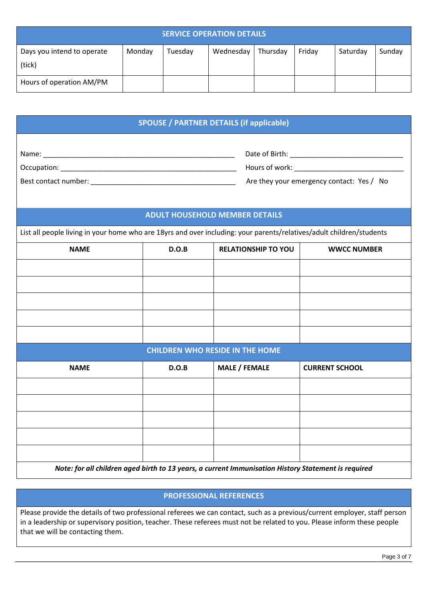| <b>SERVICE OPERATION DETAILS</b>     |        |         |           |          |        |          |        |  |  |  |
|--------------------------------------|--------|---------|-----------|----------|--------|----------|--------|--|--|--|
| Days you intend to operate<br>(tick) | Monday | Tuesday | Wednesday | Thursday | Friday | Saturday | Sunday |  |  |  |
| Hours of operation AM/PM             |        |         |           |          |        |          |        |  |  |  |

| <b>SPOUSE / PARTNER DETAILS (if applicable)</b> |  |
|-------------------------------------------------|--|

Name: \_\_\_\_\_\_\_\_\_\_\_\_\_\_\_\_\_\_\_\_\_\_\_\_\_\_\_\_\_\_\_\_\_\_\_\_\_\_\_\_\_\_\_\_\_\_\_\_\_ Date of Birth: \_\_\_\_\_\_\_\_\_\_\_\_\_\_\_\_\_\_\_\_\_\_\_\_\_\_\_\_\_

Occupation: example of the state of the state of the state of the state of work:  $\theta$ 

Best contact number: \_\_\_\_\_\_\_\_\_\_\_\_\_\_\_\_\_\_\_\_\_\_\_\_\_\_\_\_\_\_\_\_\_\_\_\_\_ Are they your emergency contact: Yes / No

| Are they your emergency contact: Yes / No |  |  |
|-------------------------------------------|--|--|
|-------------------------------------------|--|--|

# **ADULT HOUSEHOLD MEMBER DETAILS**

List all people living in your home who are 18yrs and over including: your parents/relatives/adult children/students

| <b>NAME</b> | D.O.B | <b>RELATIONSHIP TO YOU</b>             | <b>WWCC NUMBER</b>    |
|-------------|-------|----------------------------------------|-----------------------|
|             |       |                                        |                       |
|             |       |                                        |                       |
|             |       |                                        |                       |
|             |       |                                        |                       |
|             |       |                                        |                       |
|             |       | <b>CHILDREN WHO RESIDE IN THE HOME</b> |                       |
|             |       |                                        |                       |
| <b>NAME</b> | D.O.B | <b>MALE / FEMALE</b>                   | <b>CURRENT SCHOOL</b> |
|             |       |                                        |                       |
|             |       |                                        |                       |
|             |       |                                        |                       |
|             |       |                                        |                       |
|             |       |                                        |                       |

*Note: for all children aged birth to 13 years, a current Immunisation History Statement is required* 

# **PROFESSIONAL REFERENCES**

Please provide the details of two professional referees we can contact, such as a previous/current employer, staff person in a leadership or supervisory position, teacher. These referees must not be related to you. Please inform these people that we will be contacting them.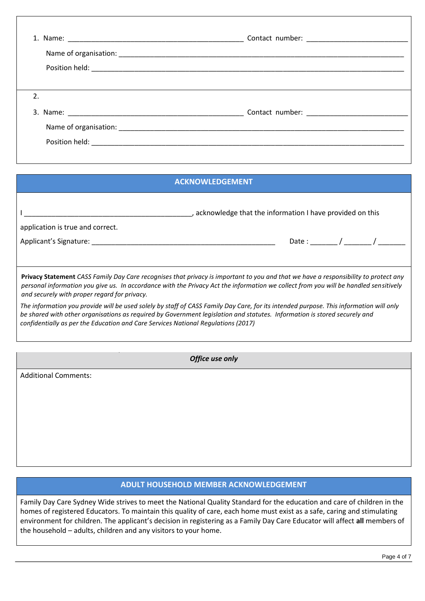| 2. |  |
|----|--|
|    |  |
|    |  |
|    |  |

| <b>ACKNOWLEDGEMENT</b>                                                                                                                                                                                                                                                                                                                                   |
|----------------------------------------------------------------------------------------------------------------------------------------------------------------------------------------------------------------------------------------------------------------------------------------------------------------------------------------------------------|
| , acknowledge that the information I have provided on this<br>application is true and correct.                                                                                                                                                                                                                                                           |
| Date: $\frac{1}{\sqrt{2\pi}}$<br>Applicant's Signature:                                                                                                                                                                                                                                                                                                  |
| Privacy Statement CASS Family Day Care recognises that privacy is important to you and that we have a responsibility to protect any<br>personal information you give us. In accordance with the Privacy Act the information we collect from you will be handled sensitively<br>and securely with proper regard for privacy.                              |
| The information you provide will be used solely by staff of CASS Family Day Care, for its intended purpose. This information will only<br>be shared with other organisations as required by Government legislation and statutes. Information is stored securely and<br>confidentially as per the Education and Care Services National Regulations (2017) |
| Office use only                                                                                                                                                                                                                                                                                                                                          |
| <b>Additional Comments:</b>                                                                                                                                                                                                                                                                                                                              |

# **ADULT HOUSEHOLD MEMBER ACKNOWLEDGEMENT**

Family Day Care Sydney Wide strives to meet the National Quality Standard for the education and care of children in the homes of registered Educators. To maintain this quality of care, each home must exist as a safe, caring and stimulating environment for children. The applicant's decision in registering as a Family Day Care Educator will affect **all** members of the household – adults, children and any visitors to your home.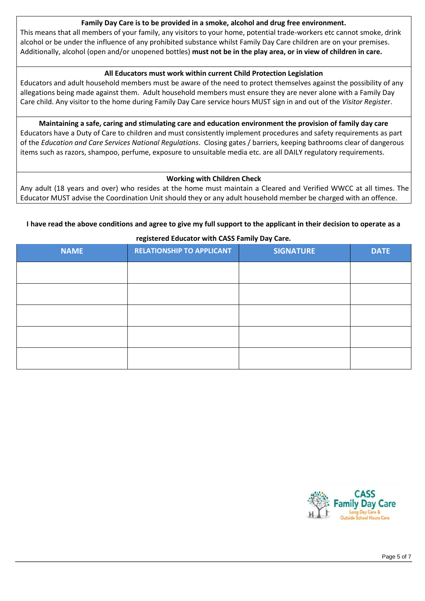#### **Family Day Care is to be provided in a smoke, alcohol and drug free environment.**

This means that all members of your family, any visitors to your home, potential trade-workers etc cannot smoke, drink alcohol or be under the influence of any prohibited substance whilst Family Day Care children are on your premises. Additionally, alcohol (open and/or unopened bottles) **must not be in the play area, or in view of children in care.** 

#### **All Educators must work within current Child Protection Legislation**

Educators and adult household members must be aware of the need to protect themselves against the possibility of any allegations being made against them. Adult household members must ensure they are never alone with a Family Day Care child. Any visitor to the home during Family Day Care service hours MUST sign in and out of the *Visitor Register*.

**Maintaining a safe, caring and stimulating care and education environment the provision of family day care**  Educators have a Duty of Care to children and must consistently implement procedures and safety requirements as part of the *Education and Care Services National Regulations*. Closing gates / barriers, keeping bathrooms clear of dangerous items such as razors, shampoo, perfume, exposure to unsuitable media etc. are all DAILY regulatory requirements.

#### **Working with Children Check**

Any adult (18 years and over) who resides at the home must maintain a Cleared and Verified WWCC at all times. The Educator MUST advise the Coordination Unit should they or any adult household member be charged with an offence.

#### **I have read the above conditions and agree to give my full support to the applicant in their decision to operate as a**

| <b>NAME</b> | <b>RELATIONSHIP TO APPLICANT</b> | <b>SIGNATURE</b> | <b>DATE</b> |
|-------------|----------------------------------|------------------|-------------|
|             |                                  |                  |             |
|             |                                  |                  |             |
|             |                                  |                  |             |
|             |                                  |                  |             |
|             |                                  |                  |             |

**registered Educator with CASS Family Day Care.** 

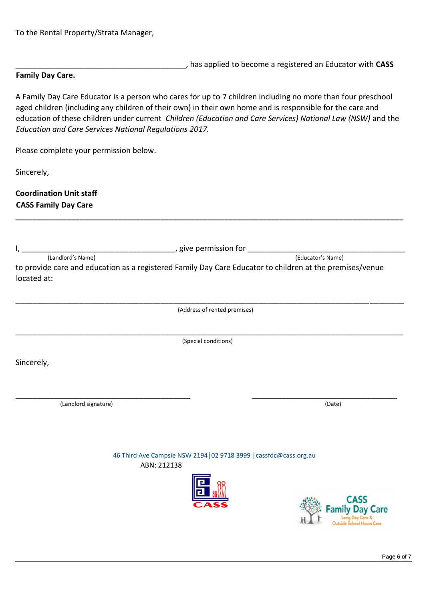To the Rental Property/Strata Manager,

\_\_\_\_\_\_\_\_\_\_\_\_\_\_\_\_\_\_\_\_\_\_\_\_\_\_\_\_\_\_\_\_\_\_\_\_\_\_\_\_, has applied to become a registered an Educator with **CASS**

# **Family Day Care.**

A Family Day Care Educator is a person who cares for up to 7 children including no more than four preschool aged children (including any children of their own) in their own home and is responsible for the care and education of these children under current *Children (Education and Care Services) National Law (NSW)* and the *Education and Care Services National Regulations 2017.* 

**\_\_\_\_\_\_\_\_\_\_\_\_\_\_\_\_\_\_\_\_\_\_\_\_\_\_\_\_\_\_\_\_\_\_\_\_\_\_\_\_\_\_\_\_\_\_\_\_\_\_\_\_\_\_\_\_\_\_\_\_\_\_\_\_\_\_\_\_\_\_\_\_\_\_\_\_\_\_\_\_\_\_\_\_\_\_\_\_\_\_\_** 

Please complete your permission below.

Sincerely,

**Coordination Unit staff CASS Family Day Care**

| to provide care and education as a registered Family Day Care Educator to children at the premises/venue<br>located at:<br>(Address of rented premises)<br>(Special conditions)<br>Sincerely,<br>(Landlord signature)<br>46 Third Ave Campsie NSW 2194   02 9718 3999   cassfdc@cass.org.au<br>ABN: 212138 |             |
|------------------------------------------------------------------------------------------------------------------------------------------------------------------------------------------------------------------------------------------------------------------------------------------------------------|-------------|
|                                                                                                                                                                                                                                                                                                            |             |
|                                                                                                                                                                                                                                                                                                            |             |
|                                                                                                                                                                                                                                                                                                            |             |
|                                                                                                                                                                                                                                                                                                            |             |
|                                                                                                                                                                                                                                                                                                            | (Date)      |
|                                                                                                                                                                                                                                                                                                            |             |
|                                                                                                                                                                                                                                                                                                            | CASS<br>are |